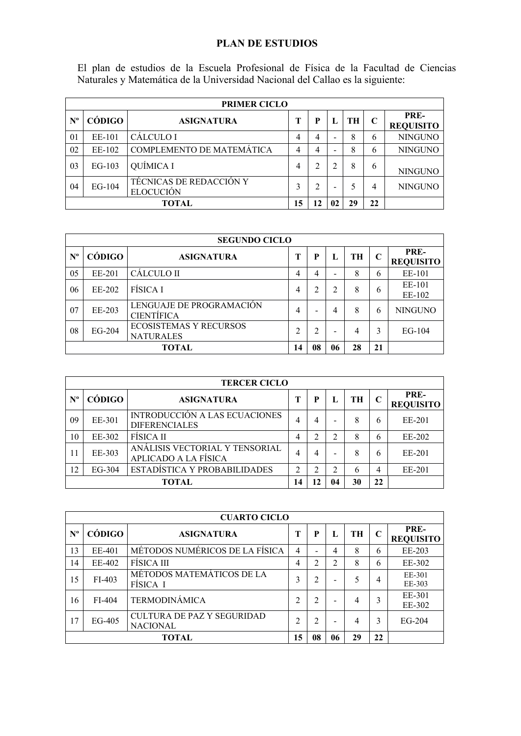## **PLAN DE ESTUDIOS**

El plan de estudios de la Escuela Profesional de Física de la Facultad de Ciencias Naturales y Matemática de la Universidad Nacional del Callao es la siguiente:

|             | <b>PRIMER CICLO</b>                 |                                                    |   |   |   |    |   |                          |  |
|-------------|-------------------------------------|----------------------------------------------------|---|---|---|----|---|--------------------------|--|
| $N^{\rm o}$ | CÓDIGO                              | <b>ASIGNATURA</b>                                  |   | P |   | TH |   | PRE-<br><b>REQUISITO</b> |  |
| 01          | EE-101                              | <b>CALCULO I</b>                                   | 4 | 4 |   | 8  | 6 | <b>NINGUNO</b>           |  |
| 02          | EE-102                              | COMPLEMENTO DE MATEMÁTICA                          | 4 | 4 |   | 8  | 6 | <b>NINGUNO</b>           |  |
| 03          | $EG-103$                            | QUÍMICA I                                          | 4 | ↑ |   | 8  | 6 | <b>NINGUNO</b>           |  |
| 04          | $EG-104$                            | <b>TÉCNICAS DE REDACCIÓN Y</b><br><b>ELOCUCIÓN</b> | 3 |   | - |    | 4 | <b>NINGUNO</b>           |  |
|             | 15<br>TOTAL<br>22<br>12<br>29<br>02 |                                                    |   |   |   |    |   |                          |  |

|             | <b>SEGUNDO CICLO</b>                |                                                   |   |                |   |    |   |                          |  |  |
|-------------|-------------------------------------|---------------------------------------------------|---|----------------|---|----|---|--------------------------|--|--|
| $N^{\rm o}$ | CÓDIGO                              | <b>ASIGNATURA</b>                                 | т | P              |   | TH | C | PRE-<br><b>REQUISITO</b> |  |  |
| 05          | EE-201                              | <b>CALCULO II</b>                                 | 4 | 4              | - | 8  | 6 | EE-101                   |  |  |
| 06          | EE-202                              | FÍSICA I                                          | 4 | 2              | 2 | 8  | 6 | EE-101<br>EE-102         |  |  |
| 07          | EE-203                              | LENGUAJE DE PROGRAMACIÓN<br><b>CIENTÍFICA</b>     | 4 |                | 4 | 8  | 6 | <b>NINGUNO</b>           |  |  |
| 08          | EG-204                              | <b>ECOSISTEMAS Y RECURSOS</b><br><b>NATURALES</b> | ↑ | $\overline{2}$ | - | 4  | 3 | $EG-104$                 |  |  |
|             | 08<br>28<br>21<br>TOTAL<br>14<br>06 |                                                   |   |                |   |    |   |                          |  |  |

|                  | <b>TERCER CICLO</b>                        |                                                        |   |   |                |    |                |                          |  |
|------------------|--------------------------------------------|--------------------------------------------------------|---|---|----------------|----|----------------|--------------------------|--|
| $N^{\mathrm{o}}$ | CÓDIGO                                     | <b>ASIGNATURA</b>                                      | т | P |                | TH | C              | PRE-<br><b>REQUISITO</b> |  |
| 09               | EE-301                                     | INTRODUCCIÓN A LAS ECUACIONES<br><b>DIFERENCIALES</b>  | 4 | 4 | -              | 8  | h              | EE-201                   |  |
| 10               | EE-302                                     | <b>FISICA II</b>                                       | 4 | າ | $\overline{c}$ | 8  | 6              | EE-202                   |  |
| 11               | EE-303                                     | ANÁLISIS VECTORIAL Y TENSORIAL<br>APLICADO A LA FÍSICA | 4 | 4 | -              | 8  | h              | EE-201                   |  |
| 12               | $EG-304$                                   | ESTADÍSTICA Y PROBABILIDADES                           | ↑ | ↑ | 2              | 6  | $\overline{4}$ | EE-201                   |  |
|                  | 22<br>30<br><b>TOTAL</b><br>14<br>12<br>04 |                                                        |   |   |                |    |                |                          |  |

|                  | <b>CUARTO CICLO</b> |                                               |                |                |                |    |             |                          |  |
|------------------|---------------------|-----------------------------------------------|----------------|----------------|----------------|----|-------------|--------------------------|--|
| $N^{\mathrm{o}}$ | CÓDIGO              | <b>ASIGNATURA</b>                             | т              | P              |                | TH | $\mathbf C$ | PRE-<br><b>REQUISITO</b> |  |
| 13               | EE-401              | MÉTODOS NUMÉRICOS DE LA FÍSICA                | $\overline{4}$ |                | 4              | 8  | 6           | EE-203                   |  |
| 14               | EE-402              | <b>FISICA III</b>                             | 4              | $\overline{2}$ | $\mathfrak{D}$ | 8  | 6           | EE-302                   |  |
| 15               | FI-403              | MÉTODOS MATEMÁTICOS DE LA<br>FISICA I         | 3              | 2              | -              | 5  | 4           | EE-301<br>EE-303         |  |
| 16               | FI-404              | <b>TERMODINÁMICA</b>                          | ↑              | $\overline{2}$ | -              | 4  | 3           | EE-301<br>EE-302         |  |
| 17               | EG-405              | CULTURA DE PAZ Y SEGURIDAD<br><b>NACIONAL</b> | ↑              | $\mathfrak{D}$ |                | 4  | 3           | $EG-204$                 |  |
|                  |                     | 15                                            | 08             | 06             | 29             | 22 |             |                          |  |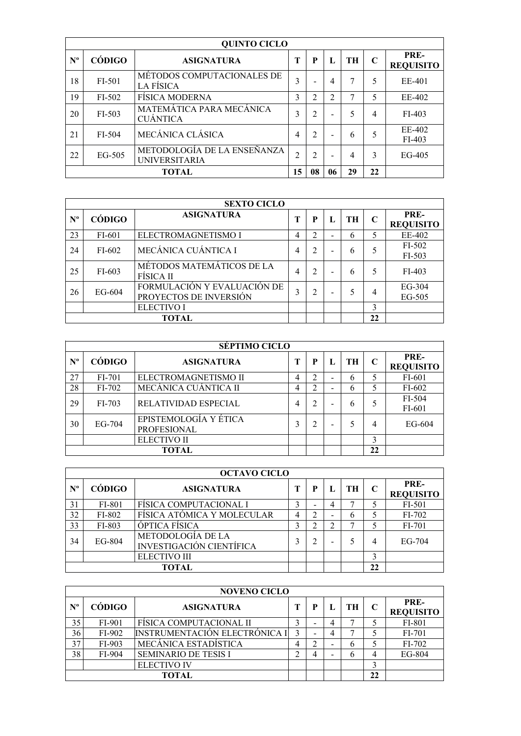|             | <b>QUINTO CICLO</b> |                                                     |    |                         |    |    |              |                          |  |  |
|-------------|---------------------|-----------------------------------------------------|----|-------------------------|----|----|--------------|--------------------------|--|--|
| $N^{\circ}$ | CÓDIGO              | <b>ASIGNATURA</b>                                   | Т  | P                       | Ι. | TH | $\mathsf{C}$ | PRE-<br><b>REQUISITO</b> |  |  |
| 18          | FI-501              | MÉTODOS COMPUTACIONALES DE<br>LA FÍSICA             | 3  | ۳                       | 4  |    | 5            | EE-401                   |  |  |
| 19          | FI-502              | <b>FISICA MODERNA</b>                               | 3  | $\overline{\mathbf{c}}$ | ↑  |    |              | EE-402                   |  |  |
| 20          | $FI-503$            | MATEMÁTICA PARA MECÁNICA<br><b>CUÁNTICA</b>         | 3  | 2                       |    |    | 4            | FI-403                   |  |  |
| 21          | FI-504              | MECÁNICA CLÁSICA                                    | 4  | $\overline{2}$          |    | 6  |              | EE-402<br>$FI-403$       |  |  |
| 22          | EG-505              | METODOLOGÍA DE LA ENSEÑANZA<br><b>UNIVERSITARIA</b> | 2  | $\overline{c}$          |    | 4  | 3            | $EG-405$                 |  |  |
|             |                     | 15                                                  | 08 | 06                      | 29 | 22 |              |                          |  |  |

|             | <b>SEXTO CICLO</b> |                                                       |   |                |    |              |   |                          |  |
|-------------|--------------------|-------------------------------------------------------|---|----------------|----|--------------|---|--------------------------|--|
| $N^{\circ}$ | CÓDIGO             | <b>ASIGNATURA</b>                                     | Т | P              | Ъ. | <b>TH</b>    | C | PRE-<br><b>REQUISITO</b> |  |
| 23          | FI-601             | ELECTROMAGNETISMO I                                   | 4 | $\mathfrak{D}$ |    | $\mathsf{f}$ |   | EE-402                   |  |
| 24          | FI-602             | MECÁNICA CUÁNTICA I                                   | 4 | 2              |    | $\mathsf{f}$ |   | FI-502<br>FI-503         |  |
| 25          | $FI-603$           | MÉTODOS MATEMÁTICOS DE LA<br>FÍSICA II                | 4 | 2              |    | h            |   | $FI-403$                 |  |
| 26          | EG-604             | FORMULACIÓN Y EVALUACIÓN DE<br>PROYECTOS DE INVERSIÓN | 3 | 2              |    |              | 4 | EG-304<br>EG-505         |  |
|             |                    | <b>ELECTIVO I</b>                                     |   |                |    |              | 3 |                          |  |
|             | 22<br><b>TOTAL</b> |                                                       |   |                |    |              |   |                          |  |

|             | <b>SÉPTIMO CICLO</b> |                                             |   |                |    |    |    |                          |  |  |
|-------------|----------------------|---------------------------------------------|---|----------------|----|----|----|--------------------------|--|--|
| $N^{\rm o}$ | CÓDIGO               | <b>ASIGNATURA</b>                           |   | P              | п, | TH | C  | PRE-<br><b>REQUISITO</b> |  |  |
| 27          | $FI-701$             | ELECTROMAGNETISMO II                        | 4 | っ              | -  | h  |    | FI-601                   |  |  |
| 28          | $FI-702$             | MECÁNICA CUÁNTICA II                        | 4 | $\mathfrak{D}$ | -  | h  |    | FI-602                   |  |  |
| 29          | FI-703               | RELATIVIDAD ESPECIAL                        | 4 | 2              |    | h  |    | FI-504<br>FI-601         |  |  |
| 30          | $EG-704$             | EPISTEMOLOGÍA Y ÉTICA<br><b>PROFESIONAL</b> | 3 | 2              |    |    | 4  | $EG-604$                 |  |  |
|             |                      | ELECTIVO II                                 |   |                |    |    | 3  |                          |  |  |
|             | TOTAL                |                                             |   |                |    |    | 22 |                          |  |  |

|             | <b>OCTAVO CICLO</b> |                                                      |   |   |  |    |             |                          |  |  |
|-------------|---------------------|------------------------------------------------------|---|---|--|----|-------------|--------------------------|--|--|
| $N^{\rm o}$ | CÓDIGO              | <b>ASIGNATURA</b>                                    |   | P |  | TH | $\mathbf C$ | PRE-<br><b>REQUISITO</b> |  |  |
| 31          | FI-801              | FÍSICA COMPUTACIONAL I                               | 3 | - |  | ┑  |             | FI-501                   |  |  |
| 32          | FI-802              | FÍSICA ATÓMICA Y MOLECULAR                           | 4 | ∍ |  | h  |             | FI-702                   |  |  |
| 33          | FI-803              | ÓPTICA FÍSICA                                        | 3 | ◠ |  |    |             | FI-701                   |  |  |
| 34          | EG-804              | METODOLOGÍA DE LA<br><b>INVESTIGACIÓN CIENTÍFICA</b> |   |   |  |    | 4           | $EG-704$                 |  |  |
|             |                     | <b>ELECTIVO III</b>                                  |   |   |  |    | 3           |                          |  |  |
|             | TOTAL               |                                                      |   |   |  |    | 22          |                          |  |  |

|                  | <b>NOVENO CICLO</b> |                                      |   |   |   |    |    |                          |  |
|------------------|---------------------|--------------------------------------|---|---|---|----|----|--------------------------|--|
| $N^{\mathrm{o}}$ | CÓDIGO              | <b>ASIGNATURA</b>                    |   | р |   | TН | C  | PRE-<br><b>REQUISITO</b> |  |
| 35               | FI-901              | FÍSICA COMPUTACIONAL II              |   | - | 4 |    |    | FI-801                   |  |
| 36               | FI-902              | <b>INSTRUMENTACIÓN ELECTRÓNICA I</b> | 3 | - |   |    |    | FI-701                   |  |
| 37               | $FI-903$            | MECÁNICA ESTADÍSTICA                 | 4 |   |   | b  |    | $FI-702$                 |  |
| 38               | FI-904              | <b>SEMINARIO DE TESIS I</b>          |   |   |   | h  |    | EG-804                   |  |
|                  |                     | <b>ELECTIVO IV</b>                   |   |   |   |    | 3  |                          |  |
|                  | TOTAL               |                                      |   |   |   |    | 22 |                          |  |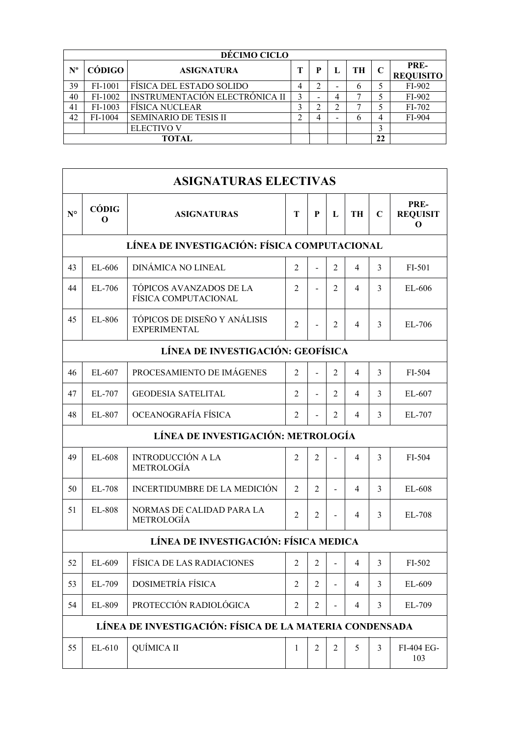|             | DÉCIMO CICLO  |                                |   |        |   |    |    |                          |  |
|-------------|---------------|--------------------------------|---|--------|---|----|----|--------------------------|--|
| $N^{\rm o}$ | <b>CÓDIGO</b> | <b>ASIGNATURA</b>              | т |        |   | TH | C  | PRE-<br><b>REQUISITO</b> |  |
| 39          | FI-1001       | FÍSICA DEL ESTADO SOLIDO       | 4 | ↑<br>∠ | - | h  |    | FI-902                   |  |
| 40          | FI-1002       | INSTRUMENTACIÓN ELECTRÓNICA II | 3 | -      | 4 |    |    | FI-902                   |  |
| 41          | FI-1003       | <b>FÍSICA NUCLEAR</b>          | 3 |        | ◠ |    |    | FI-702                   |  |
| 42          | FI-1004       | <b>SEMINARIO DE TESIS II</b>   | ◠ | 4      | - | b  | 4  | FI-904                   |  |
|             |               | <b>ELECTIVO V</b>              |   |        |   |    | 3  |                          |  |
|             | <b>TOTAL</b>  |                                |   |        |   |    | 22 |                          |  |

|                                                         | <b>ASIGNATURAS ELECTIVAS</b>                                                                                            |                                                     |                |                          |                |                |             |                              |  |  |  |
|---------------------------------------------------------|-------------------------------------------------------------------------------------------------------------------------|-----------------------------------------------------|----------------|--------------------------|----------------|----------------|-------------|------------------------------|--|--|--|
| $N^{\circ}$                                             | CÓDIG<br>O                                                                                                              | <b>ASIGNATURAS</b>                                  | Т              | P                        | L              | <b>TH</b>      | $\mathbf C$ | PRE-<br><b>REQUISIT</b><br>O |  |  |  |
|                                                         | LÍNEA DE INVESTIGACIÓN: FÍSICA COMPUTACIONAL                                                                            |                                                     |                |                          |                |                |             |                              |  |  |  |
| 43                                                      | EL-606                                                                                                                  | DINÁMICA NO LINEAL                                  | 2              | $\overline{a}$           | $\overline{c}$ | 4              | 3           | FI-501                       |  |  |  |
| 44                                                      | EL-706                                                                                                                  | TÓPICOS AVANZADOS DE LA<br>FÍSICA COMPUTACIONAL     | $\mathfrak{D}$ |                          | $\mathfrak{D}$ | 4              | 3           | EL-606                       |  |  |  |
| 45                                                      | EL-806                                                                                                                  | TÓPICOS DE DISEÑO Y ANÁLISIS<br><b>EXPERIMENTAL</b> | $\overline{2}$ | $\overline{\phantom{a}}$ | $\overline{c}$ | 4              | 3           | EL-706                       |  |  |  |
|                                                         | LÍNEA DE INVESTIGACIÓN: GEOFÍSICA                                                                                       |                                                     |                |                          |                |                |             |                              |  |  |  |
| 46                                                      | $EL-607$                                                                                                                | PROCESAMIENTO DE IMÁGENES                           | 2              |                          | $\overline{c}$ | 4              | 3           | FI-504                       |  |  |  |
| 47                                                      | EL-707                                                                                                                  | <b>GEODESIA SATELITAL</b>                           | 2              |                          | $\overline{2}$ | 4              | 3           | EL-607                       |  |  |  |
| 48                                                      | EL-807                                                                                                                  | OCEANOGRAFÍA FÍSICA                                 | 2              |                          | $\overline{c}$ | 4              | 3           | EL-707                       |  |  |  |
|                                                         |                                                                                                                         | LÍNEA DE INVESTIGACIÓN: METROLOGÍA                  |                |                          |                |                |             |                              |  |  |  |
| 49                                                      | EL-608                                                                                                                  | <b>INTRODUCCIÓN A LA</b><br><b>METROLOGÍA</b>       | $\mathfrak{D}$ | 2                        |                | 4              | 3           | FI-504                       |  |  |  |
| 50                                                      | EL-708                                                                                                                  | INCERTIDUMBRE DE LA MEDICIÓN                        | $\mathfrak{D}$ | $\mathfrak{D}$           |                | 4              | 3           | EL-608                       |  |  |  |
| 51                                                      | EL-808                                                                                                                  | NORMAS DE CALIDAD PARA LA<br><b>METROLOGÍA</b>      | 2              | $\overline{2}$           |                | 4              | 3           | EL-708                       |  |  |  |
|                                                         |                                                                                                                         | LÍNEA DE INVESTIGACIÓN: FÍSICA MEDICA               |                |                          |                |                |             |                              |  |  |  |
| 52                                                      | EL-609                                                                                                                  | FÍSICA DE LAS RADIACIONES                           | $\overline{2}$ | $\overline{2}$           |                | $\overline{4}$ | 3           | FI-502                       |  |  |  |
| 53                                                      | EL-709                                                                                                                  | <b>DOSIMETRÍA FÍSICA</b>                            | $\overline{2}$ | $\overline{2}$           |                | $\overline{4}$ | 3           | EL-609                       |  |  |  |
| 54                                                      | PROTECCIÓN RADIOLÓGICA<br>EL-809<br>$\overline{2}$<br>$\overline{2}$<br>$\overline{4}$<br>3<br>EL-709<br>$\overline{a}$ |                                                     |                |                          |                |                |             |                              |  |  |  |
| LÍNEA DE INVESTIGACIÓN: FÍSICA DE LA MATERIA CONDENSADA |                                                                                                                         |                                                     |                |                          |                |                |             |                              |  |  |  |
| 55                                                      | EL-610                                                                                                                  | QUÍMICA II                                          | $\mathbf{1}$   | $\overline{2}$           | $\overline{2}$ | 5              | 3           | FI-404 EG-<br>103            |  |  |  |